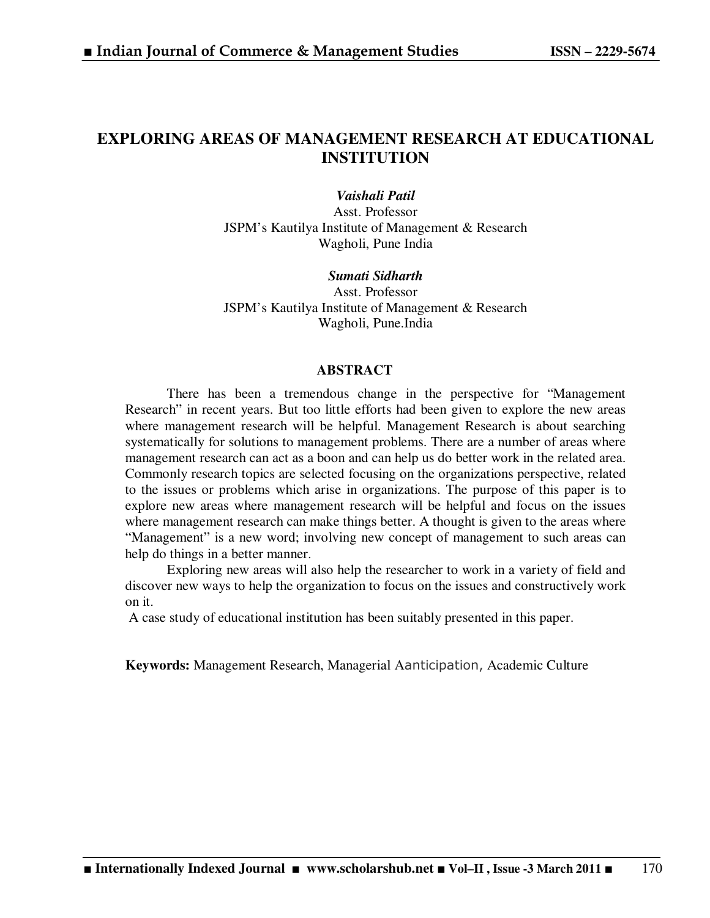# **EXPLORING AREAS OF MANAGEMENT RESEARCH AT EDUCATIONAL INSTITUTION**

*Vaishali Patil*  Asst. Professor JSPM's Kautilya Institute of Management & Research Wagholi, Pune India

*Sumati Sidharth*  Asst. Professor JSPM's Kautilya Institute of Management & Research Wagholi, Pune.India

#### **ABSTRACT**

There has been a tremendous change in the perspective for "Management Research" in recent years. But too little efforts had been given to explore the new areas where management research will be helpful. Management Research is about searching systematically for solutions to management problems. There are a number of areas where management research can act as a boon and can help us do better work in the related area. Commonly research topics are selected focusing on the organizations perspective, related to the issues or problems which arise in organizations. The purpose of this paper is to explore new areas where management research will be helpful and focus on the issues where management research can make things better. A thought is given to the areas where "Management" is a new word; involving new concept of management to such areas can help do things in a better manner.

Exploring new areas will also help the researcher to work in a variety of field and discover new ways to help the organization to focus on the issues and constructively work on it.

A case study of educational institution has been suitably presented in this paper.

**Keywords:** Management Research, Managerial Aanticipation, Academic Culture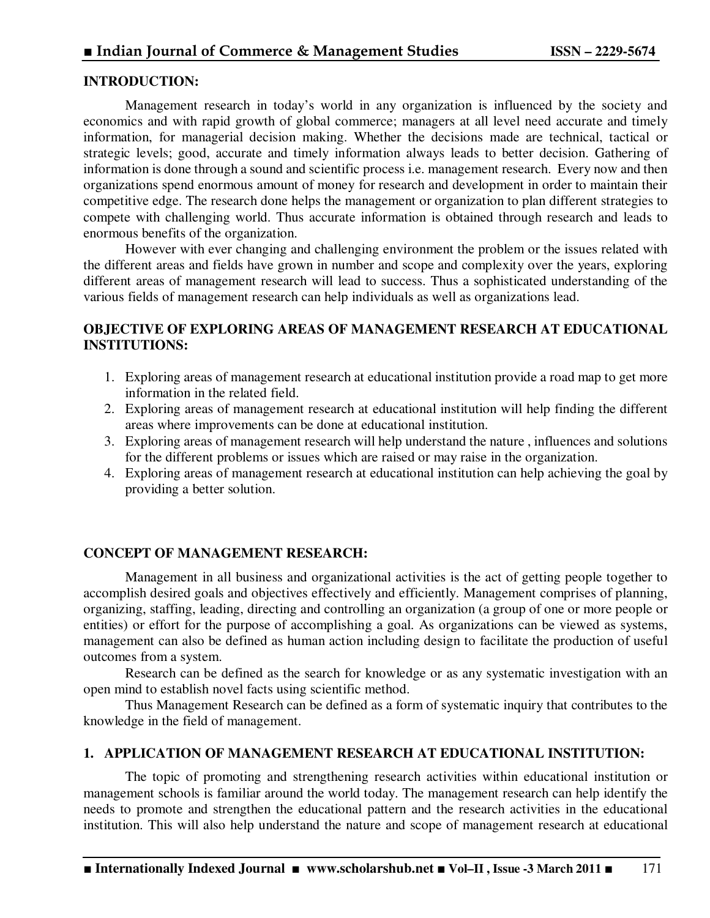### **INTRODUCTION:**

Management research in today's world in any organization is influenced by the society and economics and with rapid growth of global commerce; managers at all level need accurate and timely information, for managerial decision making. Whether the decisions made are technical, tactical or strategic levels; good, accurate and timely information always leads to better decision. Gathering of information is done through a sound and scientific process i.e. management research. Every now and then organizations spend enormous amount of money for research and development in order to maintain their competitive edge. The research done helps the management or organization to plan different strategies to compete with challenging world. Thus accurate information is obtained through research and leads to enormous benefits of the organization.

However with ever changing and challenging environment the problem or the issues related with the different areas and fields have grown in number and scope and complexity over the years, exploring different areas of management research will lead to success. Thus a sophisticated understanding of the various fields of management research can help individuals as well as organizations lead.

## **OBJECTIVE OF EXPLORING AREAS OF MANAGEMENT RESEARCH AT EDUCATIONAL INSTITUTIONS:**

- 1. Exploring areas of management research at educational institution provide a road map to get more information in the related field.
- 2. Exploring areas of management research at educational institution will help finding the different areas where improvements can be done at educational institution.
- 3. Exploring areas of management research will help understand the nature , influences and solutions for the different problems or issues which are raised or may raise in the organization.
- 4. Exploring areas of management research at educational institution can help achieving the goal by providing a better solution.

### **CONCEPT OF MANAGEMENT RESEARCH:**

Management in all business and organizational activities is the act of getting people together to accomplish desired goals and objectives effectively and efficiently. Management comprises of planning, organizing, staffing, leading, directing and controlling an organization (a group of one or more people or entities) or effort for the purpose of accomplishing a goal. As organizations can be viewed as systems, management can also be defined as human action including design to facilitate the production of useful outcomes from a system.

 Research can be defined as the search for knowledge or as any systematic investigation with an open mind to establish novel facts using scientific method.

 Thus Management Research can be defined as a form of systematic inquiry that contributes to the knowledge in the field of management.

#### **1. APPLICATION OF MANAGEMENT RESEARCH AT EDUCATIONAL INSTITUTION:**

The topic of promoting and strengthening research activities within educational institution or management schools is familiar around the world today. The management research can help identify the needs to promote and strengthen the educational pattern and the research activities in the educational institution. This will also help understand the nature and scope of management research at educational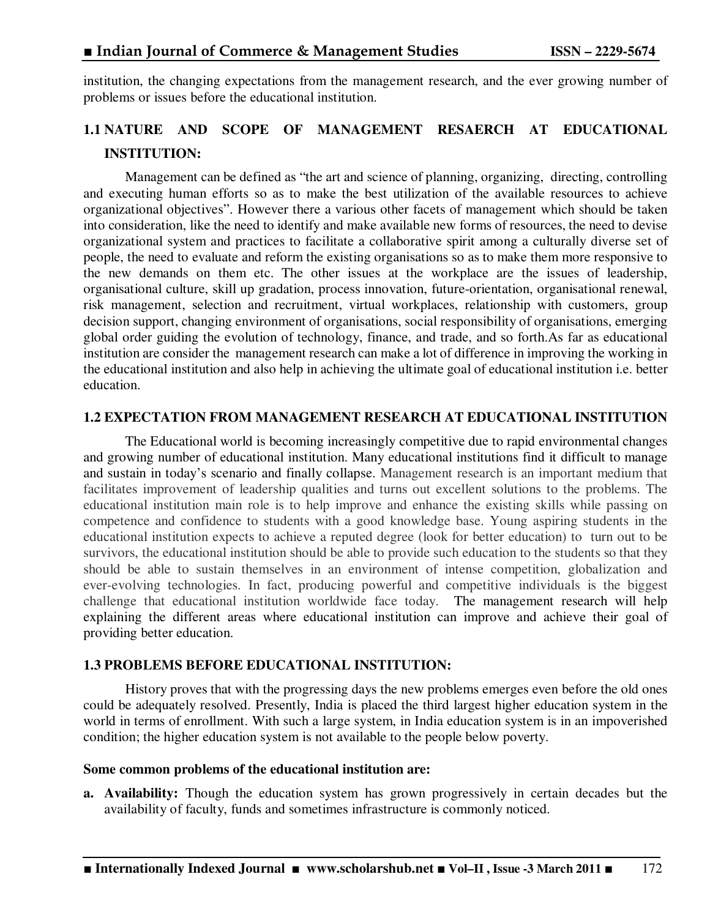institution, the changing expectations from the management research, and the ever growing number of problems or issues before the educational institution.

# **1.1 NATURE AND SCOPE OF MANAGEMENT RESAERCH AT EDUCATIONAL INSTITUTION:**

Management can be defined as "the art and science of planning, organizing, directing, controlling and executing human efforts so as to make the best utilization of the available resources to achieve organizational objectives". However there a various other facets of management which should be taken into consideration, like the need to identify and make available new forms of resources, the need to devise organizational system and practices to facilitate a collaborative spirit among a culturally diverse set of people, the need to evaluate and reform the existing organisations so as to make them more responsive to the new demands on them etc. The other issues at the workplace are the issues of leadership, organisational culture, skill up gradation, process innovation, future-orientation, organisational renewal, risk management, selection and recruitment, virtual workplaces, relationship with customers, group decision support, changing environment of organisations, social responsibility of organisations, emerging global order guiding the evolution of technology, finance, and trade, and so forth.As far as educational institution are consider the management research can make a lot of difference in improving the working in the educational institution and also help in achieving the ultimate goal of educational institution i.e. better education.

#### **1.2 EXPECTATION FROM MANAGEMENT RESEARCH AT EDUCATIONAL INSTITUTION**

The Educational world is becoming increasingly competitive due to rapid environmental changes and growing number of educational institution. Many educational institutions find it difficult to manage and sustain in today's scenario and finally collapse. Management research is an important medium that facilitates improvement of leadership qualities and turns out excellent solutions to the problems. The educational institution main role is to help improve and enhance the existing skills while passing on competence and confidence to students with a good knowledge base. Young aspiring students in the educational institution expects to achieve a reputed degree (look for better education) to turn out to be survivors, the educational institution should be able to provide such education to the students so that they should be able to sustain themselves in an environment of intense competition, globalization and ever-evolving technologies. In fact, producing powerful and competitive individuals is the biggest challenge that educational institution worldwide face today. The management research will help explaining the different areas where educational institution can improve and achieve their goal of providing better education.

#### **1.3 PROBLEMS BEFORE EDUCATIONAL INSTITUTION:**

History proves that with the progressing days the new problems emerges even before the old ones could be adequately resolved. Presently, India is placed the third largest higher education system in the world in terms of enrollment. With such a large system, in India education system is in an impoverished condition; the higher education system is not available to the people below poverty.

#### **Some common problems of the educational institution are:**

**a. Availability:** Though the education system has grown progressively in certain decades but the availability of faculty, funds and sometimes infrastructure is commonly noticed.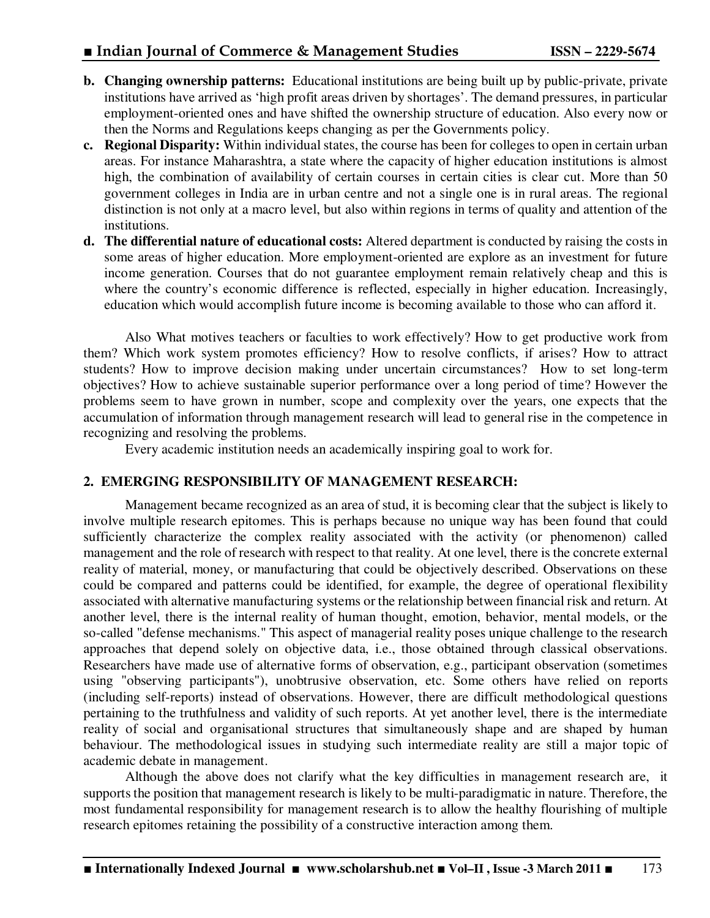- **b. Changing ownership patterns:** Educational institutions are being built up by public-private, private institutions have arrived as 'high profit areas driven by shortages'. The demand pressures, in particular employment-oriented ones and have shifted the ownership structure of education. Also every now or then the Norms and Regulations keeps changing as per the Governments policy.
- **c. Regional Disparity:** Within individual states, the course has been for colleges to open in certain urban areas. For instance Maharashtra, a state where the capacity of higher education institutions is almost high, the combination of availability of certain courses in certain cities is clear cut. More than 50 government colleges in India are in urban centre and not a single one is in rural areas. The regional distinction is not only at a macro level, but also within regions in terms of quality and attention of the institutions.
- **d. The differential nature of educational costs:** Altered department is conducted by raising the costs in some areas of higher education. More employment-oriented are explore as an investment for future income generation. Courses that do not guarantee employment remain relatively cheap and this is where the country's economic difference is reflected, especially in higher education. Increasingly, education which would accomplish future income is becoming available to those who can afford it.

Also What motives teachers or faculties to work effectively? How to get productive work from them? Which work system promotes efficiency? How to resolve conflicts, if arises? How to attract students? How to improve decision making under uncertain circumstances? How to set long-term objectives? How to achieve sustainable superior performance over a long period of time? However the problems seem to have grown in number, scope and complexity over the years, one expects that the accumulation of information through management research will lead to general rise in the competence in recognizing and resolving the problems.

Every academic institution needs an academically inspiring goal to work for.

# **2. EMERGING RESPONSIBILITY OF MANAGEMENT RESEARCH:**

 Management became recognized as an area of stud, it is becoming clear that the subject is likely to involve multiple research epitomes. This is perhaps because no unique way has been found that could sufficiently characterize the complex reality associated with the activity (or phenomenon) called management and the role of research with respect to that reality. At one level, there is the concrete external reality of material, money, or manufacturing that could be objectively described. Observations on these could be compared and patterns could be identified, for example, the degree of operational flexibility associated with alternative manufacturing systems or the relationship between financial risk and return. At another level, there is the internal reality of human thought, emotion, behavior, mental models, or the so-called "defense mechanisms." This aspect of managerial reality poses unique challenge to the research approaches that depend solely on objective data, i.e., those obtained through classical observations. Researchers have made use of alternative forms of observation, e.g., participant observation (sometimes using "observing participants"), unobtrusive observation, etc. Some others have relied on reports (including self-reports) instead of observations. However, there are difficult methodological questions pertaining to the truthfulness and validity of such reports. At yet another level, there is the intermediate reality of social and organisational structures that simultaneously shape and are shaped by human behaviour. The methodological issues in studying such intermediate reality are still a major topic of academic debate in management.

Although the above does not clarify what the key difficulties in management research are, it supports the position that management research is likely to be multi-paradigmatic in nature. Therefore, the most fundamental responsibility for management research is to allow the healthy flourishing of multiple research epitomes retaining the possibility of a constructive interaction among them.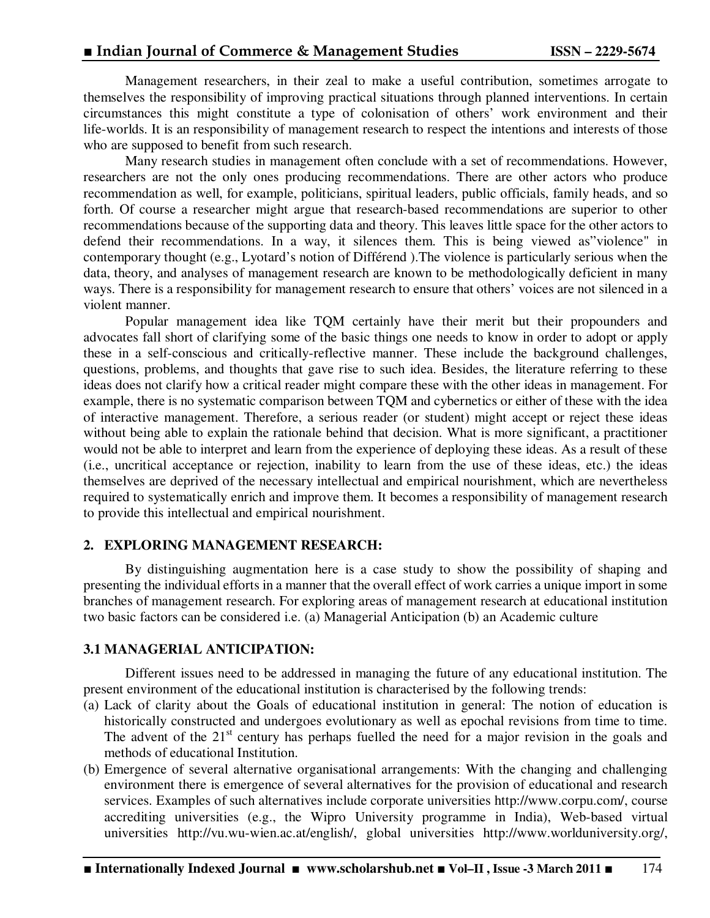Management researchers, in their zeal to make a useful contribution, sometimes arrogate to themselves the responsibility of improving practical situations through planned interventions. In certain circumstances this might constitute a type of colonisation of others' work environment and their life-worlds. It is an responsibility of management research to respect the intentions and interests of those who are supposed to benefit from such research.

Many research studies in management often conclude with a set of recommendations. However, researchers are not the only ones producing recommendations. There are other actors who produce recommendation as well, for example, politicians, spiritual leaders, public officials, family heads, and so forth. Of course a researcher might argue that research-based recommendations are superior to other recommendations because of the supporting data and theory. This leaves little space for the other actors to defend their recommendations. In a way, it silences them. This is being viewed as"violence" in contemporary thought (e.g., Lyotard's notion of Différend ).The violence is particularly serious when the data, theory, and analyses of management research are known to be methodologically deficient in many ways. There is a responsibility for management research to ensure that others' voices are not silenced in a violent manner.

Popular management idea like TQM certainly have their merit but their propounders and advocates fall short of clarifying some of the basic things one needs to know in order to adopt or apply these in a self-conscious and critically-reflective manner. These include the background challenges, questions, problems, and thoughts that gave rise to such idea. Besides, the literature referring to these ideas does not clarify how a critical reader might compare these with the other ideas in management. For example, there is no systematic comparison between TQM and cybernetics or either of these with the idea of interactive management. Therefore, a serious reader (or student) might accept or reject these ideas without being able to explain the rationale behind that decision. What is more significant, a practitioner would not be able to interpret and learn from the experience of deploying these ideas. As a result of these (i.e., uncritical acceptance or rejection, inability to learn from the use of these ideas, etc.) the ideas themselves are deprived of the necessary intellectual and empirical nourishment, which are nevertheless required to systematically enrich and improve them. It becomes a responsibility of management research to provide this intellectual and empirical nourishment.

### **2. EXPLORING MANAGEMENT RESEARCH:**

By distinguishing augmentation here is a case study to show the possibility of shaping and presenting the individual efforts in a manner that the overall effect of work carries a unique import in some branches of management research. For exploring areas of management research at educational institution two basic factors can be considered i.e. (a) Managerial Anticipation (b) an Academic culture

### **3.1 MANAGERIAL ANTICIPATION:**

Different issues need to be addressed in managing the future of any educational institution. The present environment of the educational institution is characterised by the following trends:

- (a) Lack of clarity about the Goals of educational institution in general: The notion of education is historically constructed and undergoes evolutionary as well as epochal revisions from time to time. The advent of the 21<sup>st</sup> century has perhaps fuelled the need for a major revision in the goals and methods of educational Institution.
- (b) Emergence of several alternative organisational arrangements: With the changing and challenging environment there is emergence of several alternatives for the provision of educational and research services. Examples of such alternatives include corporate universities http://www.corpu.com/, course accrediting universities (e.g., the Wipro University programme in India), Web-based virtual universities http://vu.wu-wien.ac.at/english/, global universities http://www.worlduniversity.org/,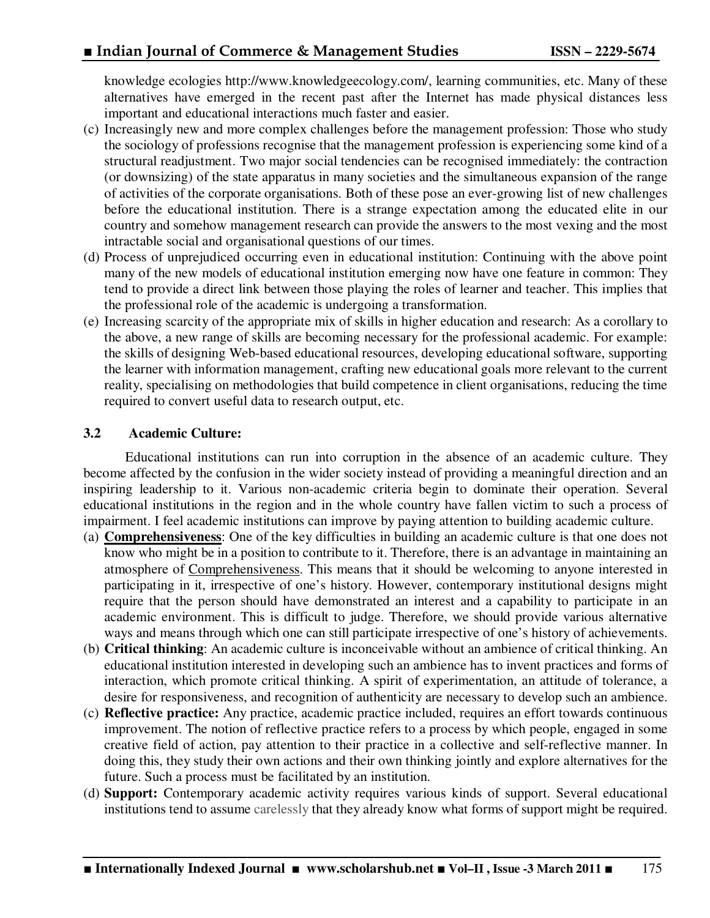knowledge ecologies http://www.knowledgeecology.com/, learning communities, etc. Many of these alternatives have emerged in the recent past after the Internet has made physical distances less important and educational interactions much faster and easier.

- (c) Increasingly new and more complex challenges before the management profession: Those who study the sociology of professions recognise that the management profession is experiencing some kind of a structural readjustment. Two major social tendencies can be recognised immediately: the contraction (or downsizing) of the state apparatus in many societies and the simultaneous expansion of the range of activities of the corporate organisations. Both of these pose an ever-growing list of new challenges before the educational institution. There is a strange expectation among the educated elite in our country and somehow management research can provide the answers to the most vexing and the most intractable social and organisational questions of our times.
- (d) Process of unprejudiced occurring even in educational institution: Continuing with the above point many of the new models of educational institution emerging now have one feature in common: They tend to provide a direct link between those playing the roles of learner and teacher. This implies that the professional role of the academic is undergoing a transformation.
- (e) Increasing scarcity of the appropriate mix of skills in higher education and research: As a corollary to the above, a new range of skills are becoming necessary for the professional academic. For example: the skills of designing Web-based educational resources, developing educational software, supporting the learner with information management, crafting new educational goals more relevant to the current reality, specialising on methodologies that build competence in client organisations, reducing the time required to convert useful data to research output, etc.

## **3.2 Academic Culture:**

Educational institutions can run into corruption in the absence of an academic culture. They become affected by the confusion in the wider society instead of providing a meaningful direction and an inspiring leadership to it. Various non-academic criteria begin to dominate their operation. Several educational institutions in the region and in the whole country have fallen victim to such a process of impairment. I feel academic institutions can improve by paying attention to building academic culture.

- (a) **Comprehensiveness**: One of the key difficulties in building an academic culture is that one does not know who might be in a position to contribute to it. Therefore, there is an advantage in maintaining an atmosphere of Comprehensiveness. This means that it should be welcoming to anyone interested in participating in it, irrespective of one's history. However, contemporary institutional designs might require that the person should have demonstrated an interest and a capability to participate in an academic environment. This is difficult to judge. Therefore, we should provide various alternative ways and means through which one can still participate irrespective of one's history of achievements.
- (b) **Critical thinking**: An academic culture is inconceivable without an ambience of critical thinking. An educational institution interested in developing such an ambience has to invent practices and forms of interaction, which promote critical thinking. A spirit of experimentation, an attitude of tolerance, a desire for responsiveness, and recognition of authenticity are necessary to develop such an ambience.
- (c) **Reflective practice:** Any practice, academic practice included, requires an effort towards continuous improvement. The notion of reflective practice refers to a process by which people, engaged in some creative field of action, pay attention to their practice in a collective and self-reflective manner. In doing this, they study their own actions and their own thinking jointly and explore alternatives for the future. Such a process must be facilitated by an institution.
- (d) **Support:** Contemporary academic activity requires various kinds of support. Several educational institutions tend to assume carelessly that they already know what forms of support might be required.